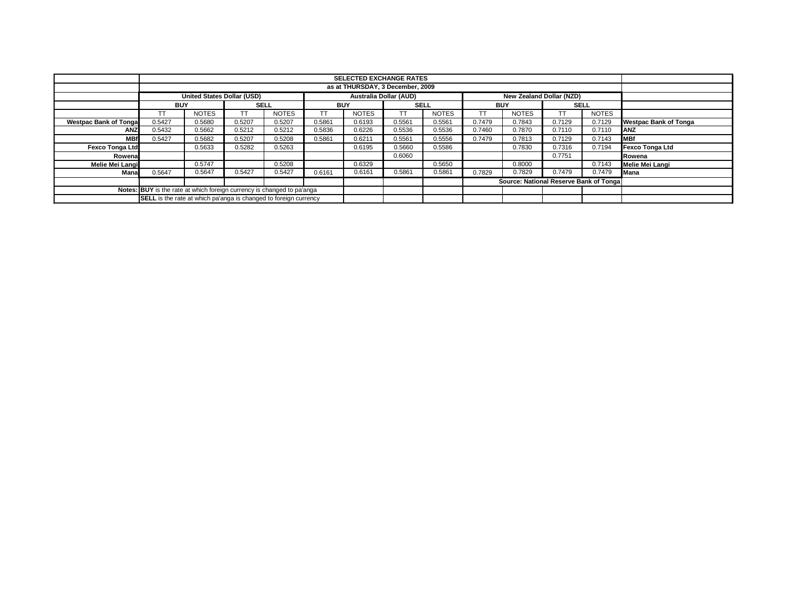|                               |                                                                         |                                  |             |              |            | <b>SELECTED EXCHANGE RATES</b> |             |              |            |                                        |             |              |                              |
|-------------------------------|-------------------------------------------------------------------------|----------------------------------|-------------|--------------|------------|--------------------------------|-------------|--------------|------------|----------------------------------------|-------------|--------------|------------------------------|
|                               |                                                                         | as at THURSDAY, 3 December, 2009 |             |              |            |                                |             |              |            |                                        |             |              |                              |
|                               |                                                                         | United States Dollar (USD)       |             |              |            | Australia Dollar (AUD)         |             |              |            | New Zealand Dollar (NZD)               |             |              |                              |
|                               | <b>BUY</b>                                                              |                                  | <b>SELL</b> |              | <b>BUY</b> |                                | <b>SELL</b> |              | <b>BUY</b> |                                        | <b>SELL</b> |              |                              |
|                               | ТT                                                                      | <b>NOTES</b>                     | TТ          | <b>NOTES</b> | TΤ         | <b>NOTES</b>                   | ТT          | <b>NOTES</b> |            | <b>NOTES</b>                           | TT          | <b>NOTES</b> |                              |
| <b>Westpac Bank of Tongal</b> | 0.5427                                                                  | 0.5680                           | 0.5207      | 0.5207       | 0.5861     | 0.6193                         | 0.5561      | 0.5561       | 0.7479     | 0.7843                                 | 0.7129      | 0.7129       | <b>Westpac Bank of Tonga</b> |
| <b>ANZ</b>                    | 0.5432                                                                  | 0.5662                           | 0.5212      | 0.5212       | 0.5836     | 0.6226                         | 0.5536      | 0.5536       | 0.7460     | 0.7870                                 | 0.7110      | 0.7110       | <b>ANZ</b>                   |
| <b>MBf</b>                    | 0.5427                                                                  | 0.5682                           | 0.5207      | 0.5208       | 0.5861     | 0.6211                         | 0.5561      | 0.5556       | 0.7479     | 0.7813                                 | 0.7129      | 0.7143       | <b>MBf</b>                   |
| <b>Fexco Tonga Ltd</b>        |                                                                         | 0.5633                           | 0.5282      | 0.5263       |            | 0.6195                         | 0.5660      | 0.5586       |            | 0.7830                                 | 0.7316      | 0.7194       | <b>Fexco Tonga Ltd</b>       |
| Rowena                        |                                                                         |                                  |             |              |            |                                | 0.6060      |              |            |                                        | 0.7751      |              | Rowena                       |
| Melie Mei Langi               |                                                                         | 0.5747                           |             | 0.5208       |            | 0.6329                         |             | 0.5650       |            | 0.8000                                 |             | 0.7143       | Melie Mei Langi              |
| Mana                          | 0.5647                                                                  | 0.5647                           | 0.5427      | 0.5427       | 0.6161     | 0.6161                         | 0.5861      | 0.5861       | 0.7829     | 0.7829                                 | 0.7479      | 0.7479       | <b>Mana</b>                  |
|                               |                                                                         |                                  |             |              |            |                                |             |              |            | Source: National Reserve Bank of Tonga |             |              |                              |
|                               | Notes: BUY is the rate at which foreign currency is changed to pa'anga  |                                  |             |              |            |                                |             |              |            |                                        |             |              |                              |
|                               | <b>SELL</b> is the rate at which pa'anga is changed to foreign currency |                                  |             |              |            |                                |             |              |            |                                        |             |              |                              |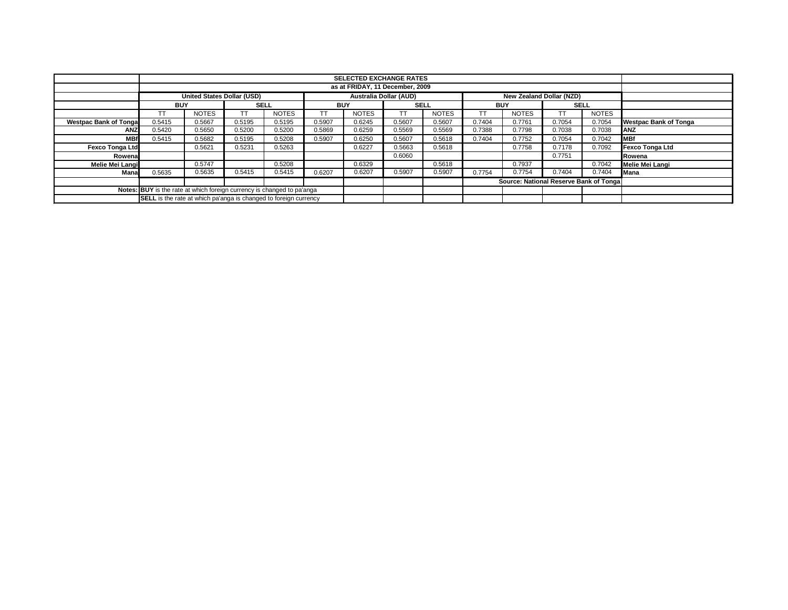|                                                                        |                                                                  |                            |             |              |            | <b>SELECTED EXCHANGE RATES</b> |             |              |            |                                        |        |              |                              |
|------------------------------------------------------------------------|------------------------------------------------------------------|----------------------------|-------------|--------------|------------|--------------------------------|-------------|--------------|------------|----------------------------------------|--------|--------------|------------------------------|
|                                                                        | as at FRIDAY, 11 December, 2009                                  |                            |             |              |            |                                |             |              |            |                                        |        |              |                              |
|                                                                        |                                                                  | United States Dollar (USD) |             |              |            | Australia Dollar (AUD)         |             |              |            | New Zealand Dollar (NZD)               |        |              |                              |
|                                                                        | <b>BUY</b>                                                       |                            | <b>SELL</b> |              | <b>BUY</b> |                                | <b>SELL</b> |              | <b>BUY</b> |                                        |        | <b>SELL</b>  |                              |
|                                                                        | TT                                                               | <b>NOTES</b>               | <b>TT</b>   | <b>NOTES</b> | <b>TT</b>  | <b>NOTES</b>                   | TT          | <b>NOTES</b> | TT         | <b>NOTES</b>                           |        | <b>NOTES</b> |                              |
| <b>Westpac Bank of Tongal</b>                                          | 0.5415                                                           | 0.5667                     | 0.5195      | 0.5195       | 0.5907     | 0.6245                         | 0.5607      | 0.5607       | 0.7404     | 0.7761                                 | 0.7054 | 0.7054       | <b>Westpac Bank of Tonga</b> |
| <b>ANZ</b>                                                             | 0.5420                                                           | 0.5650                     | 0.5200      | 0.5200       | 0.5869     | 0.6259                         | 0.5569      | 0.5569       | 0.7388     | 0.7798                                 | 0.7038 | 0.7038       | <b>ANZ</b>                   |
| <b>MBf</b>                                                             | 0.5415                                                           | 0.5682                     | 0.5195      | 0.5208       | 0.5907     | 0.6250                         | 0.5607      | 0.5618       | 0.7404     | 0.7752                                 | 0.7054 | 0.7042       | <b>MBf</b>                   |
| <b>Fexco Tonga Ltd</b>                                                 |                                                                  | 0.5621                     | 0.5231      | 0.5263       |            | 0.6227                         | 0.5663      | 0.5618       |            | 0.7758                                 | 0.7178 | 0.7092       | <b>Fexco Tonga Ltd</b>       |
| Rowena                                                                 |                                                                  |                            |             |              |            |                                | 0.6060      |              |            |                                        | 0.7751 |              | Rowena                       |
| Melie Mei Langi                                                        |                                                                  | 0.5747                     |             | 0.5208       |            | 0.6329                         |             | 0.5618       |            | 0.7937                                 |        | 0.7042       | Melie Mei Langi              |
| Mana                                                                   | 0.5635                                                           | 0.5635                     | 0.5415      | 0.5415       | 0.6207     | 0.6207                         | 0.5907      | 0.5907       | 0.7754     | 0.7754                                 | 0.7404 | 0.7404       | Mana                         |
|                                                                        |                                                                  |                            |             |              |            |                                |             |              |            | Source: National Reserve Bank of Tonga |        |              |                              |
| Notes: BUY is the rate at which foreign currency is changed to pa'anga |                                                                  |                            |             |              |            |                                |             |              |            |                                        |        |              |                              |
|                                                                        | SELL is the rate at which pa'anga is changed to foreign currency |                            |             |              |            |                                |             |              |            |                                        |        |              |                              |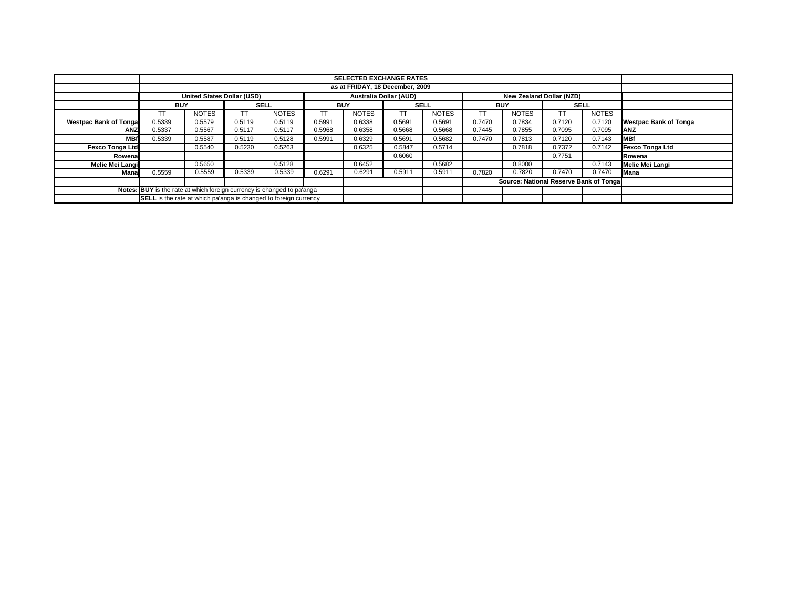|                                                                        |                                                                  |                            |             |              |            | <b>SELECTED EXCHANGE RATES</b> |             |              |            |                                        |             |              |                              |
|------------------------------------------------------------------------|------------------------------------------------------------------|----------------------------|-------------|--------------|------------|--------------------------------|-------------|--------------|------------|----------------------------------------|-------------|--------------|------------------------------|
|                                                                        | as at FRIDAY, 18 December, 2009                                  |                            |             |              |            |                                |             |              |            |                                        |             |              |                              |
|                                                                        |                                                                  | United States Dollar (USD) |             |              |            | Australia Dollar (AUD)         |             |              |            | New Zealand Dollar (NZD)               |             |              |                              |
|                                                                        | <b>BUY</b>                                                       |                            | <b>SELL</b> |              | <b>BUY</b> |                                | <b>SELL</b> |              | <b>BUY</b> |                                        | <b>SELL</b> |              |                              |
|                                                                        | TT                                                               | <b>NOTES</b>               | <b>TT</b>   | <b>NOTES</b> | <b>TT</b>  | <b>NOTES</b>                   | TT          | <b>NOTES</b> | TT         | <b>NOTES</b>                           |             | <b>NOTES</b> |                              |
| <b>Westpac Bank of Tongal</b>                                          | 0.5339                                                           | 0.5579                     | 0.5119      | 0.5119       | 0.5991     | 0.6338                         | 0.5691      | 0.5691       | 0.7470     | 0.7834                                 | 0.7120      | 0.7120       | <b>Westpac Bank of Tonga</b> |
| <b>ANZ</b>                                                             | 0.5337                                                           | 0.5567                     | 0.5117      | 0.5117       | 0.5968     | 0.6358                         | 0.5668      | 0.5668       | 0.7445     | 0.7855                                 | 0.7095      | 0.7095       | ANZ                          |
| <b>MBf</b>                                                             | 0.5339                                                           | 0.5587                     | 0.5119      | 0.5128       | 0.5991     | 0.6329                         | 0.5691      | 0.5682       | 0.7470     | 0.7813                                 | 0.7120      | 0.7143       | <b>MBf</b>                   |
| <b>Fexco Tonga Ltd</b>                                                 |                                                                  | 0.5540                     | 0.5230      | 0.5263       |            | 0.6325                         | 0.5847      | 0.5714       |            | 0.7818                                 | 0.7372      | 0.7142       | Fexco Tonga Ltd              |
| Rowena                                                                 |                                                                  |                            |             |              |            |                                | 0.6060      |              |            |                                        | 0.7751      |              | Rowena                       |
| Melie Mei Langi                                                        |                                                                  | 0.5650                     |             | 0.5128       |            | 0.6452                         |             | 0.5682       |            | 0.8000                                 |             | 0.7143       | Melie Mei Langi              |
| Mana                                                                   | 0.5559                                                           | 0.5559                     | 0.5339      | 0.5339       | 0.6291     | 0.6291                         | 0.5911      | 0.5911       | 0.7820     | 0.7820                                 | 0.7470      | 0.7470       | Mana                         |
|                                                                        |                                                                  |                            |             |              |            |                                |             |              |            | Source: National Reserve Bank of Tonga |             |              |                              |
| Notes: BUY is the rate at which foreign currency is changed to pa'anga |                                                                  |                            |             |              |            |                                |             |              |            |                                        |             |              |                              |
|                                                                        | SELL is the rate at which pa'anga is changed to foreign currency |                            |             |              |            |                                |             |              |            |                                        |             |              |                              |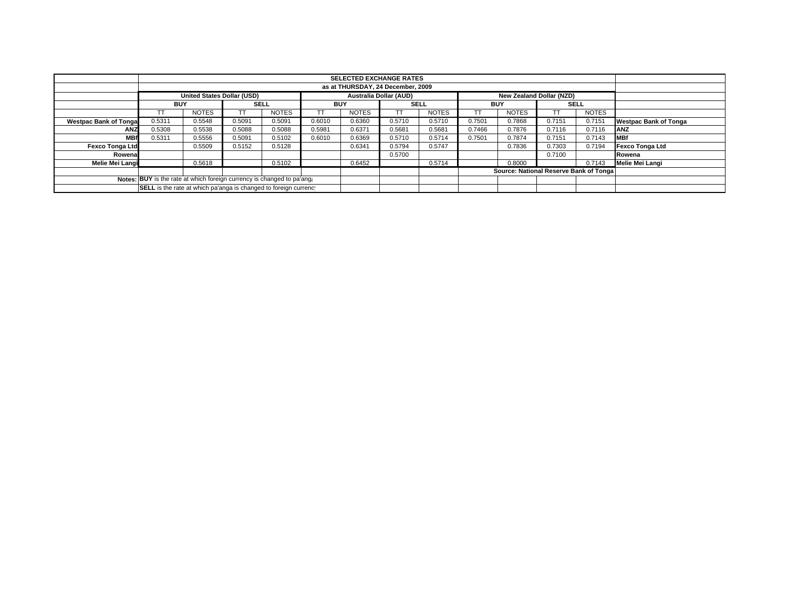|                                                                        |                                                                  |                                   |             |              |                               | <b>SELECTED EXCHANGE RATES</b> |        |              |            |                                         |        |        |                              |
|------------------------------------------------------------------------|------------------------------------------------------------------|-----------------------------------|-------------|--------------|-------------------------------|--------------------------------|--------|--------------|------------|-----------------------------------------|--------|--------|------------------------------|
|                                                                        | as at THURSDAY, 24 December, 2009                                |                                   |             |              |                               |                                |        |              |            |                                         |        |        |                              |
|                                                                        |                                                                  | <b>United States Dollar (USD)</b> |             |              | <b>Australia Dollar (AUD)</b> |                                |        |              |            | New Zealand Dollar (NZD)                |        |        |                              |
|                                                                        | BUY                                                              |                                   | <b>SELL</b> |              | BUY                           |                                | SELL   |              | <b>BUY</b> |                                         | SELL   |        |                              |
|                                                                        |                                                                  | <b>NOTES</b>                      |             | <b>NOTES</b> | TT                            | <b>NOTES</b>                   | TT     | <b>NOTES</b> |            | <b>NOTES</b>                            |        | NOTES  |                              |
| <b>Westpac Bank of Tonga</b>                                           | 0.5311                                                           | 0.5548                            | 0.5091      | 0.5091       | 0.6010                        | 0.6360                         | 0.5710 | 0.5710       | 0.7501     | 0.7868                                  | 0.7151 | 0.7151 | <b>Westpac Bank of Tonga</b> |
| <b>ANZ</b>                                                             | 0.5308                                                           | 0.5538                            | 0.5088      | 0.5088       | 0.5981                        | 0.6371                         | 0.5681 | 0.5681       | 0.7466     | 0.7876                                  | 0.7116 | 0.7116 | <b>ANZ</b>                   |
| <b>MBf</b>                                                             | 0.5311                                                           | 0.5556                            | 0.5091      | 0.5102       | 0.6010                        | 0.6369                         | 0.5710 | 0.5714       | 0.7501     | 0.7874                                  | 0.7151 | 0.7143 | <b>IMBf</b>                  |
| <b>Fexco Tonga Ltd</b>                                                 |                                                                  | 0.5509                            | 0.5152      | 0.5128       |                               | 0.6341                         | 0.5794 | 0.5747       |            | 0.7836                                  | 0.7303 | 0.7194 | Fexco Tonga Ltd              |
| Rowena                                                                 |                                                                  |                                   |             |              |                               |                                | 0.5700 |              |            |                                         | 0.7100 |        | Rowena                       |
| Melie Mei Langi                                                        |                                                                  | 0.5618                            |             | 0.5102       |                               | 0.6452                         |        | 0.5714       |            | 0.8000                                  |        | 0.7143 | Melie Mei Langi              |
|                                                                        |                                                                  |                                   |             |              |                               |                                |        |              |            | Source: National Reserve Bank of Tongal |        |        |                              |
| Notes: BUY is the rate at which foreign currency is changed to pa'ang: |                                                                  |                                   |             |              |                               |                                |        |              |            |                                         |        |        |                              |
|                                                                        | SELL is the rate at which pa'anga is changed to foreign currency |                                   |             |              |                               |                                |        |              |            |                                         |        |        |                              |